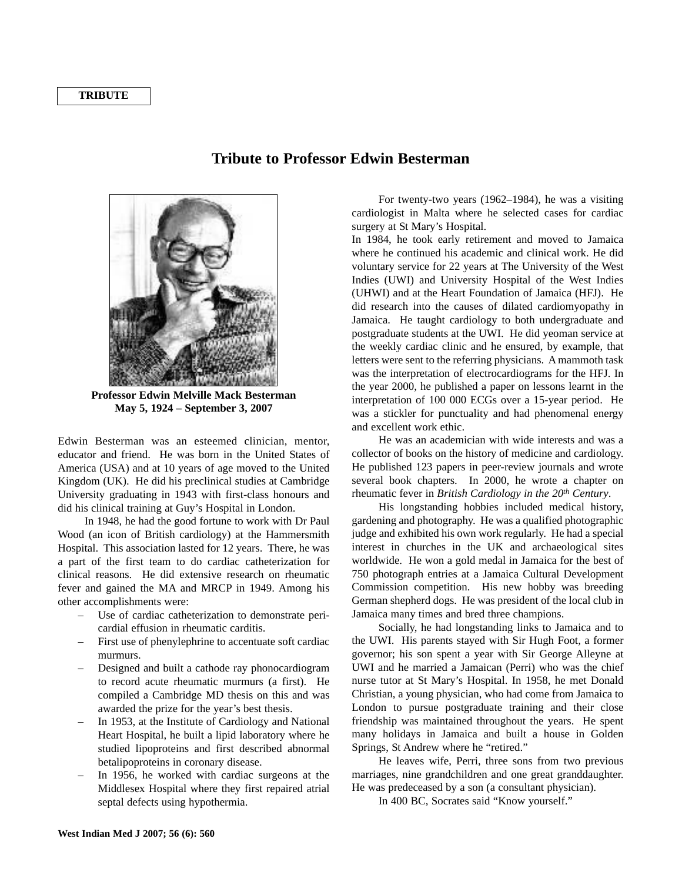## **TRIBUTE**

## **Tribute to Professor Edwin Besterman**



**Professor Edwin Melville Mack Besterman May 5, 1924 – September 3, 2007**

Edwin Besterman was an esteemed clinician, mentor, educator and friend. He was born in the United States of America (USA) and at 10 years of age moved to the United Kingdom (UK). He did his preclinical studies at Cambridge University graduating in 1943 with first-class honours and did his clinical training at Guy's Hospital in London.

In 1948, he had the good fortune to work with Dr Paul Wood (an icon of British cardiology) at the Hammersmith Hospital. This association lasted for 12 years. There, he was a part of the first team to do cardiac catheterization for clinical reasons. He did extensive research on rheumatic fever and gained the MA and MRCP in 1949. Among his other accomplishments were:

- Use of cardiac catheterization to demonstrate pericardial effusion in rheumatic carditis.
- First use of phenylephrine to accentuate soft cardiac murmurs.
- Designed and built a cathode ray phonocardiogram to record acute rheumatic murmurs (a first). He compiled a Cambridge MD thesis on this and was awarded the prize for the year's best thesis.
- In 1953, at the Institute of Cardiology and National Heart Hospital, he built a lipid laboratory where he studied lipoproteins and first described abnormal betalipoproteins in coronary disease.
- In 1956, he worked with cardiac surgeons at the Middlesex Hospital where they first repaired atrial septal defects using hypothermia.

For twenty-two years (1962–1984), he was a visiting cardiologist in Malta where he selected cases for cardiac surgery at St Mary's Hospital.

In 1984, he took early retirement and moved to Jamaica where he continued his academic and clinical work. He did voluntary service for 22 years at The University of the West Indies (UWI) and University Hospital of the West Indies (UHWI) and at the Heart Foundation of Jamaica (HFJ). He did research into the causes of dilated cardiomyopathy in Jamaica. He taught cardiology to both undergraduate and postgraduate students at the UWI. He did yeoman service at the weekly cardiac clinic and he ensured, by example, that letters were sent to the referring physicians. A mammoth task was the interpretation of electrocardiograms for the HFJ. In the year 2000, he published a paper on lessons learnt in the interpretation of 100 000 ECGs over a 15-year period. He was a stickler for punctuality and had phenomenal energy and excellent work ethic.

He was an academician with wide interests and was a collector of books on the history of medicine and cardiology. He published 123 papers in peer-review journals and wrote several book chapters. In 2000, he wrote a chapter on rheumatic fever in *British Cardiology in the 20th Century*.

His longstanding hobbies included medical history, gardening and photography. He was a qualified photographic judge and exhibited his own work regularly. He had a special interest in churches in the UK and archaeological sites worldwide. He won a gold medal in Jamaica for the best of 750 photograph entries at a Jamaica Cultural Development Commission competition. His new hobby was breeding German shepherd dogs. He was president of the local club in Jamaica many times and bred three champions.

Socially, he had longstanding links to Jamaica and to the UWI. His parents stayed with Sir Hugh Foot, a former governor; his son spent a year with Sir George Alleyne at UWI and he married a Jamaican (Perri) who was the chief nurse tutor at St Mary's Hospital. In 1958, he met Donald Christian, a young physician, who had come from Jamaica to London to pursue postgraduate training and their close friendship was maintained throughout the years. He spent many holidays in Jamaica and built a house in Golden Springs, St Andrew where he "retired."

He leaves wife, Perri, three sons from two previous marriages, nine grandchildren and one great granddaughter. He was predeceased by a son (a consultant physician).

In 400 BC, Socrates said "Know yourself."